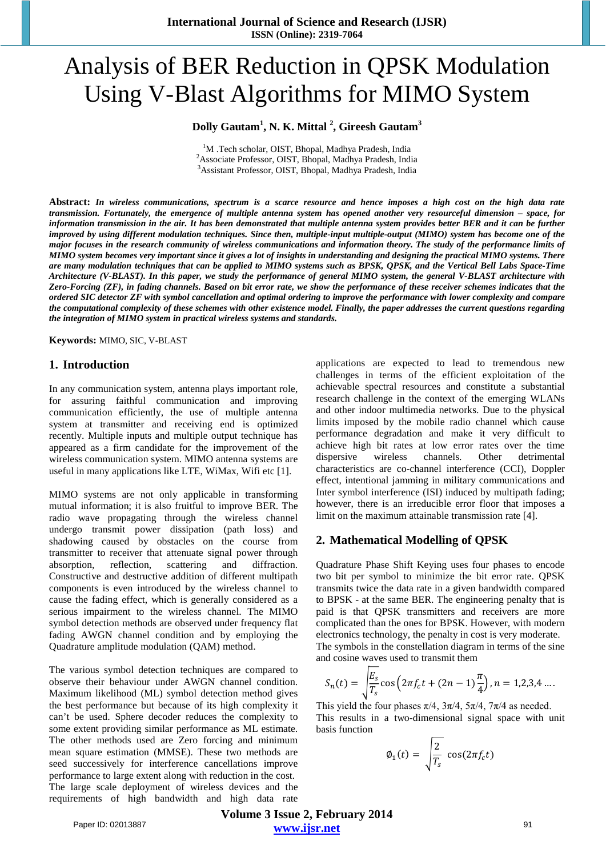# Analysis of BER Reduction in QPSK Modulation Using V-Blast Algorithms for MIMO System

### **Dolly Gautam<sup>1</sup> , N. K. Mittal <sup>2</sup> , Gireesh Gautam<sup>3</sup>**

<sup>1</sup>M .Tech scholar, OIST, Bhopal, Madhya Pradesh, India<br><sup>2</sup>Associate Professor, OIST, Bhopal, Madhya Pradesh, India Associate Professor, OIST, Bhopal, Madhya Pradesh, India 3 Assistant Professor, OIST, Bhopal, Madhya Pradesh, India

**Abstract:** *In wireless communications, spectrum is a scarce resource and hence imposes a high cost on the high data rate transmission. Fortunately, the emergence of multiple antenna system has opened another very resourceful dimension – space, for information transmission in the air. It has been demonstrated that multiple antenna system provides better BER and it can be further improved by using different modulation techniques. Since then, multiple-input multiple-output (MIMO) system has become one of the major focuses in the research community of wireless communications and information theory. The study of the performance limits of MIMO system becomes very important since it gives a lot of insights in understanding and designing the practical MIMO systems. There are many modulation techniques that can be applied to MIMO systems such as BPSK, QPSK, and the Vertical Bell Labs Space-Time Architecture (V-BLAST). In this paper, we study the performance of general MIMO system, the general V-BLAST architecture with Zero-Forcing (ZF), in fading channels. Based on bit error rate, we show the performance of these receiver schemes indicates that the ordered SIC detector ZF with symbol cancellation and optimal ordering to improve the performance with lower complexity and compare the computational complexity of these schemes with other existence model. Finally, the paper addresses the current questions regarding the integration of MIMO system in practical wireless systems and standards.* 

**Keywords:** MIMO, SIC, V-BLAST

#### **1. Introduction**

In any communication system, antenna plays important role, for assuring faithful communication and improving communication efficiently, the use of multiple antenna system at transmitter and receiving end is optimized recently. Multiple inputs and multiple output technique has appeared as a firm candidate for the improvement of the wireless communication system. MIMO antenna systems are useful in many applications like LTE, WiMax, Wifi etc [1].

MIMO systems are not only applicable in transforming mutual information; it is also fruitful to improve BER. The radio wave propagating through the wireless channel undergo transmit power dissipation (path loss) and shadowing caused by obstacles on the course from transmitter to receiver that attenuate signal power through absorption, reflection, scattering and diffraction. Constructive and destructive addition of different multipath components is even introduced by the wireless channel to cause the fading effect, which is generally considered as a serious impairment to the wireless channel. The MIMO symbol detection methods are observed under frequency flat fading AWGN channel condition and by employing the Quadrature amplitude modulation (QAM) method.

The various symbol detection techniques are compared to observe their behaviour under AWGN channel condition. Maximum likelihood (ML) symbol detection method gives the best performance but because of its high complexity it can't be used. Sphere decoder reduces the complexity to some extent providing similar performance as ML estimate. The other methods used are Zero forcing and minimum mean square estimation (MMSE). These two methods are seed successively for interference cancellations improve performance to large extent along with reduction in the cost. The large scale deployment of wireless devices and the requirements of high bandwidth and high data rate applications are expected to lead to tremendous new challenges in terms of the efficient exploitation of the achievable spectral resources and constitute a substantial research challenge in the context of the emerging WLANs and other indoor multimedia networks. Due to the physical limits imposed by the mobile radio channel which cause performance degradation and make it very difficult to achieve high bit rates at low error rates over the time dispersive wireless channels. Other detrimental characteristics are co-channel interference (CCI), Doppler effect, intentional jamming in military communications and Inter symbol interference (ISI) induced by multipath fading; however, there is an irreducible error floor that imposes a limit on the maximum attainable transmission rate [4].

#### **2. Mathematical Modelling of QPSK**

Quadrature Phase Shift Keying uses four phases to encode two bit per symbol to minimize the bit error rate. QPSK transmits twice the data rate in a given bandwidth compared to BPSK - at the same BER. The engineering penalty that is paid is that QPSK transmitters and receivers are more complicated than the ones for BPSK. However, with modern electronics technology, the penalty in cost is very moderate. The symbols in the constellation diagram in terms of the sine and cosine waves used to transmit them

$$
S_n(t) = \sqrt{\frac{E_s}{T_s}} \cos \left(2\pi f_c t + (2n - 1)\frac{\pi}{4}\right), n = 1, 2, 3, 4 \dots
$$

This yield the four phases  $\pi/4$ ,  $3\pi/4$ ,  $5\pi/4$ ,  $7\pi/4$  as needed. This results in a two-dimensional signal space with unit basis function

$$
\varphi_1(t) = \sqrt{\frac{2}{T_s} \cos(2\pi f_c t)}
$$

**Volume 3 Issue 2, February 2014 www.ijsr.net** Paper ID: 02013887 91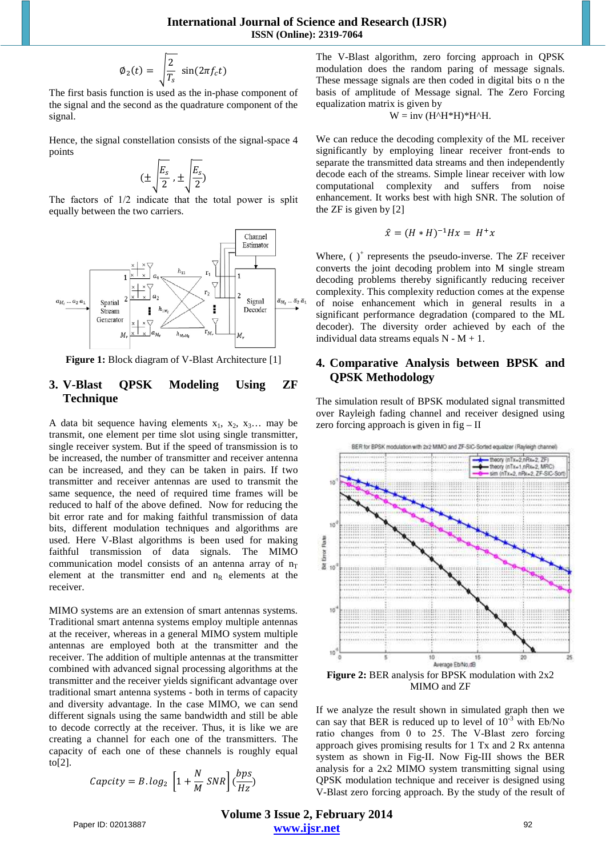$$
\varphi_2(t) = \sqrt{\frac{2}{T_s}} \sin(2\pi f_c t)
$$

The first basis function is used as the in-phase component of the signal and the second as the quadrature component of the signal.

Hence, the signal constellation consists of the signal-space 4 points

$$
(\pm \sqrt{\frac{E_s}{2}}, \pm \sqrt{\frac{E_s}{2}})
$$

The factors of 1/2 indicate that the total power is split equally between the two carriers.



**Figure 1:** Block diagram of V-Blast Architecture [1]

#### **3. V-Blast QPSK Modeling Using ZF Technique**

A data bit sequence having elements  $x_1, x_2, x_3...$  may be transmit, one element per time slot using single transmitter, single receiver system. But if the speed of transmission is to be increased, the number of transmitter and receiver antenna can be increased, and they can be taken in pairs. If two transmitter and receiver antennas are used to transmit the same sequence, the need of required time frames will be reduced to half of the above defined. Now for reducing the bit error rate and for making faithful transmission of data bits, different modulation techniques and algorithms are used. Here V-Blast algorithms is been used for making faithful transmission of data signals. The MIMO communication model consists of an antenna array of  $n_T$ element at the transmitter end and  $n<sub>R</sub>$  elements at the receiver.

MIMO systems are an extension of smart antennas systems. Traditional smart antenna systems employ multiple antennas at the receiver, whereas in a general MIMO system multiple antennas are employed both at the transmitter and the receiver. The addition of multiple antennas at the transmitter combined with advanced signal processing algorithms at the transmitter and the receiver yields significant advantage over traditional smart antenna systems - both in terms of capacity and diversity advantage. In the case MIMO, we can send different signals using the same bandwidth and still be able to decode correctly at the receiver. Thus, it is like we are creating a channel for each one of the transmitters. The capacity of each one of these channels is roughly equal to[2].

$$
Capcity = B.log_2 \left[ 1 + \frac{N}{M} \, SNR \right] \big( \frac{bps}{Hz} \big)
$$

The V-Blast algorithm, zero forcing approach in QPSK modulation does the random paring of message signals. These message signals are then coded in digital bits o n the basis of amplitude of Message signal. The Zero Forcing equalization matrix is given by

$$
W = inv (H^*H^*H)^*H^*H.
$$

We can reduce the decoding complexity of the ML receiver significantly by employing linear receiver front-ends to separate the transmitted data streams and then independently decode each of the streams. Simple linear receiver with low computational complexity and suffers from noise enhancement. It works best with high SNR. The solution of the ZF is given by [2]

$$
\hat{x} = (H * H)^{-1} H x = H^+ x
$$

Where,  $()^+$  represents the pseudo-inverse. The ZF receiver converts the joint decoding problem into M single stream decoding problems thereby significantly reducing receiver complexity. This complexity reduction comes at the expense of noise enhancement which in general results in a significant performance degradation (compared to the ML decoder). The diversity order achieved by each of the individual data streams equals  $N - M + 1$ .

## **4. Comparative Analysis between BPSK and QPSK Methodology**

The simulation result of BPSK modulated signal transmitted over Rayleigh fading channel and receiver designed using zero forcing approach is given in fig – II



**Figure 2:** BER analysis for BPSK modulation with 2x2 MIMO and ZF

If we analyze the result shown in simulated graph then we can say that BER is reduced up to level of  $10^{-3}$  with Eb/No ratio changes from 0 to 25. The V-Blast zero forcing approach gives promising results for 1 Tx and 2 Rx antenna system as shown in Fig-II. Now Fig-III shows the BER analysis for a 2x2 MIMO system transmitting signal using QPSK modulation technique and receiver is designed using V-Blast zero forcing approach. By the study of the result of

**Volume 3 Issue 2, February 2014 www.ijsr.net** Paper ID: 02013887 92